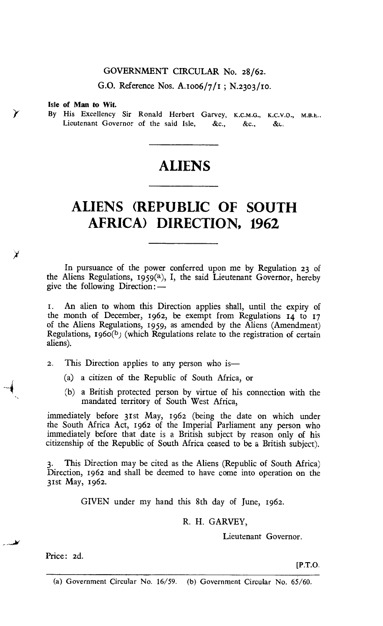### GOVERNMENT CIRCULAR No. 28/62.

G.O. Reference Nos. A.1 oo6/7/1 ; N.23o3/1o.

#### Isle of Man to Wit.

By His Excellency Sir Ronald Herbert Garvey, K.C.M.G., K.C.V.O., M.B.E.. Lieutenant Governor of the said Isle, &c., &c., &c.

## **ALIENS**

# **ALIENS (REPUBLIC OF SOUTH AFRICA) DIRECTION, 1962**

In pursuance of the power conferred upon me by Regulation 23 of the Aliens Regulations,  $1959(2)$ , I, the said Lieutenant Governor, hereby give the following Direction:—

t. An alien to whom this Direction applies shall, until the expiry of the month of December, 1962, be exempt from Regulations 14 to 17 of the Aliens Regulations, 1959, as amended by the Aliens (Amendment) Regulations, 1960(b) (which Regulations relate to the registration of certain aliens).

- 2. This Direction applies to any person who is—
	- (a) a citizen of the Republic of South Africa, or
	- (b) a British protected person by virtue of his connection with the mandated territory of South West Africa,

immediately before 31st May, 1962 (being the date on which under the South Africa Act, 1962 of the Imperial Parliament any person who immediately before that date is a British subject by reason only of his citizenship of the Republic of South Africa ceased to be a British subject).

This Direction may be cited as the Aliens (Republic of South Africa) Direction, 1962 and shall be deemed to have come into operation on the 31st May, 1962.

GIVEN under my hand this 8th day of June, 1962.

### R. H. GARVEY,

Lieutenant Governor.

Price: 2d.

\_Jr

¥

**[P.T.O.**